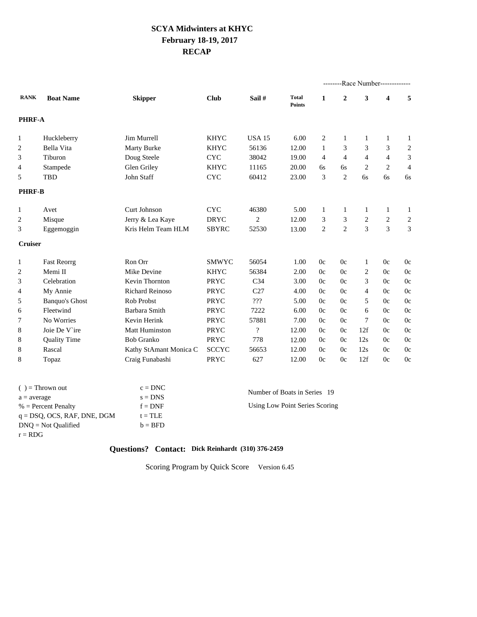# **SCYA Midwinters at KHYC February 1819, 2017 RECAP**

|                |                       |                        |              |                          | --------Race Number------------- |                |                |                |                                                                                                                                                                                                                                                                                                                                                                                           |  |
|----------------|-----------------------|------------------------|--------------|--------------------------|----------------------------------|----------------|----------------|----------------|-------------------------------------------------------------------------------------------------------------------------------------------------------------------------------------------------------------------------------------------------------------------------------------------------------------------------------------------------------------------------------------------|--|
| <b>RANK</b>    | <b>Boat Name</b>      | <b>Skipper</b>         | <b>Club</b>  | Sail #                   | <b>Total</b><br><b>Points</b>    | 1              | $\overline{2}$ | 3              | 5<br>$\overline{\mathbf{4}}$<br>1<br>$\mathbf{1}$<br>3<br>$\overline{2}$<br>$\overline{4}$<br>3<br>2<br>$\overline{4}$<br>6s<br>6s<br>$\mathbf{1}$<br>1<br>2<br>$\overline{2}$<br>$\overline{3}$<br>3<br>0c<br>0c<br>0c<br>0c<br>0 <sub>c</sub><br>0c<br>0 <sub>c</sub><br>0c<br>0 <sub>c</sub><br>0c<br>0c<br>0c<br>0 <sub>c</sub><br>0c<br>0c<br>0c<br>0c<br>0c<br>0c<br>0c<br>0c<br>0c |  |
| PHRF-A         |                       |                        |              |                          |                                  |                |                |                |                                                                                                                                                                                                                                                                                                                                                                                           |  |
| 1              | Huckleberry           | Jim Murrell            | <b>KHYC</b>  | <b>USA 15</b>            | 6.00                             | 2              | 1              | 1              |                                                                                                                                                                                                                                                                                                                                                                                           |  |
| 2              | Bella Vita            | Marty Burke            | <b>KHYC</b>  | 56136                    | 12.00                            | $\mathbf{1}$   | 3              | 3              |                                                                                                                                                                                                                                                                                                                                                                                           |  |
| 3              | Tiburon               | Doug Steele            | <b>CYC</b>   | 38042                    | 19.00                            | $\overline{4}$ | $\overline{4}$ | $\overline{4}$ |                                                                                                                                                                                                                                                                                                                                                                                           |  |
| 4              | Stampede              | Glen Griley            | <b>KHYC</b>  | 11165                    | 20.00                            | 6s             | 6s             | 2              |                                                                                                                                                                                                                                                                                                                                                                                           |  |
| 5              | <b>TBD</b>            | John Staff             | <b>CYC</b>   | 60412                    | 23.00                            | 3              | 2              | 6s             |                                                                                                                                                                                                                                                                                                                                                                                           |  |
| <b>PHRF-B</b>  |                       |                        |              |                          |                                  |                |                |                |                                                                                                                                                                                                                                                                                                                                                                                           |  |
| 1              | Avet                  | Curt Johnson           | <b>CYC</b>   | 46380                    | 5.00                             | 1              | 1              | 1              |                                                                                                                                                                                                                                                                                                                                                                                           |  |
| 2              | Misque                | Jerry & Lea Kaye       | <b>DRYC</b>  | $\overline{c}$           | 12.00                            | 3              | 3              | $\overline{c}$ |                                                                                                                                                                                                                                                                                                                                                                                           |  |
| 3              | Eggemoggin            | Kris Helm Team HLM     | <b>SBYRC</b> | 52530                    | 13.00                            | $\overline{2}$ | $\overline{2}$ | 3              |                                                                                                                                                                                                                                                                                                                                                                                           |  |
| <b>Cruiser</b> |                       |                        |              |                          |                                  |                |                |                |                                                                                                                                                                                                                                                                                                                                                                                           |  |
| 1              | <b>Fast Reorrg</b>    | Ron Orr                | SMWYC        | 56054                    | 1.00                             | 0c             | 0c             | $\mathbf{1}$   |                                                                                                                                                                                                                                                                                                                                                                                           |  |
| 2              | Memi II               | Mike Devine            | <b>KHYC</b>  | 56384                    | 2.00                             | 0c             | 0c             | 2              |                                                                                                                                                                                                                                                                                                                                                                                           |  |
| 3              | Celebration           | <b>Kevin Thornton</b>  | PRYC         | C <sub>34</sub>          | 3.00                             | 0c             | 0c             | 3              |                                                                                                                                                                                                                                                                                                                                                                                           |  |
| 4              | My Annie              | <b>Richard Reinoso</b> | PRYC         | C27                      | 4.00                             | 0c             | 0c             | $\overline{4}$ |                                                                                                                                                                                                                                                                                                                                                                                           |  |
| 5              | <b>Banquo's Ghost</b> | Rob Probst             | <b>PRYC</b>  | ???                      | 5.00                             | 0c             | 0c             | 5              |                                                                                                                                                                                                                                                                                                                                                                                           |  |
| 6              | Fleetwind             | Barbara Smith          | PRYC         | 7222                     | 6.00                             | 0c             | 0c             | 6              |                                                                                                                                                                                                                                                                                                                                                                                           |  |
| 7              | No Worries            | Kevin Herink           | <b>PRYC</b>  | 57881                    | 7.00                             | 0c             | 0c             | 7              |                                                                                                                                                                                                                                                                                                                                                                                           |  |
| 8              | Joie De V'ire         | <b>Matt Huminston</b>  | PRYC         | $\overline{\mathcal{L}}$ | 12.00                            | 0c             | 0c             | 12f            |                                                                                                                                                                                                                                                                                                                                                                                           |  |
| 8              | <b>Quality Time</b>   | <b>Bob Granko</b>      | PRYC         | 778                      | 12.00                            | 0c             | 0c             | 12s            |                                                                                                                                                                                                                                                                                                                                                                                           |  |
| 8              | Rascal                | Kathy StAmant Monica C | <b>SCCYC</b> | 56653                    | 12.00                            | 0c             | 0c             | 12s            |                                                                                                                                                                                                                                                                                                                                                                                           |  |
| 8              | Topaz                 | Craig Funabashi        | PRYC         | 627                      | 12.00                            | 0c             | 0c             | 12f            |                                                                                                                                                                                                                                                                                                                                                                                           |  |

| $\left( \quad \right) = 1$ $\left( \quad \right)$ and $\left( \right)$ | $c = DNC$ | Number of Boats in Series 19   |
|------------------------------------------------------------------------|-----------|--------------------------------|
| $a = average$                                                          | $s = DNS$ |                                |
| $%$ = Percent Penalty                                                  | $f = DNF$ | Using Low Point Series Scoring |
| $q = DSQ$ , OCS, RAF, DNE, DGM                                         | $t = TLE$ |                                |
| $DNO = Not$ Oualified                                                  | $b = BFD$ |                                |
| $r = RDG$                                                              |           |                                |

#### **Questions? Contact: Dick Reinhardt (310) 376-2459**

Scoring Program by Quick Score Version 6.45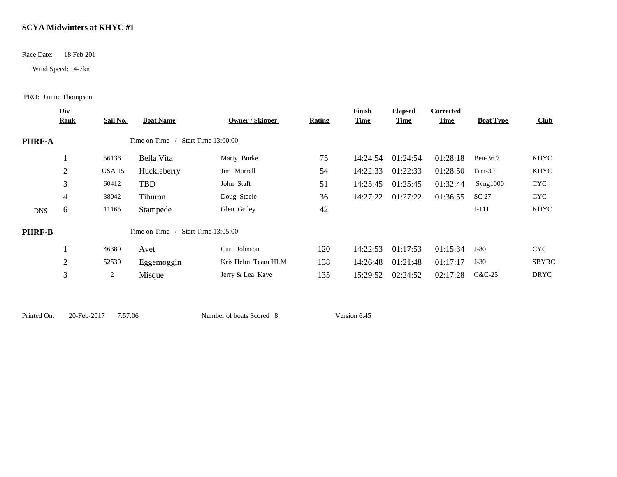Race Date: 18 Feb 201

Wind Speed: 4-7kn

PRO: Janine Thompson

|               | Div         |                 |                  |                            |               | Finish      | <b>Elapsed</b> | Corrected   |                  |             |
|---------------|-------------|-----------------|------------------|----------------------------|---------------|-------------|----------------|-------------|------------------|-------------|
|               | <b>Rank</b> | <b>Sail No.</b> | <b>Boat Name</b> | Owner / Skipper            | <b>Rating</b> | <u>Time</u> | <b>Time</b>    | <b>Time</b> | <b>Boat Type</b> | Club        |
| <b>PHRF-A</b> |             |                 | Time on Time /   | Start Time 13:00:00        |               |             |                |             |                  |             |
|               |             | 56136           | Bella Vita       | Marty Burke                | 75            | 14:24:54    | 01:24:54       | 01:28:18    | Ben-36.7         | <b>KHYC</b> |
|               | 2           | <b>USA 15</b>   | Huckleberry      | Jim Murrell                | 54            | 14:22:33    | 01:22:33       | 01:28:50    | Farr-30          | <b>KHYC</b> |
|               | 3           | 60412           | TBD              | John Staff                 | 51            | 14:25:45    | 01:25:45       | 01:32:44    | Syng1000         | <b>CYC</b>  |
|               | 4           | 38042           | Tiburon          | Doug Steele                | 36            | 14:27:22    | 01:27:22       | 01:36:55    | SC 27            | <b>CYC</b>  |
| <b>DNS</b>    | 6           | 11165           | Stampede         | Glen Griley                | 42            |             |                |             | $J-111$          | KHYC        |
| <b>PHRF-B</b> |             |                 | Time on Time     | <b>Start Time 13:05:00</b> |               |             |                |             |                  |             |
|               |             | 46380           | Avet             | Curt Johnson               | 120           | 14:22:53    | 01:17:53       | 01:15:34    | J-80             | <b>CYC</b>  |
|               | 2           | 52530           | Eggemoggin       | Kris Helm Team HLM         | 138           | 14:26:48    | 01:21:48       | 01:17:17    | $J-30$           | SBYRC       |
|               | 3           | 2               | Misque           | Jerry & Lea Kaye           | 135           | 15:29:52    | 02:24:52       | 02:17:28    | C&C-25           | DRYC        |
|               |             |                 |                  |                            |               |             |                |             |                  |             |

Printed On: 20-Feb-2017 7:57:06 Number of boats Scored 8 Version 6.45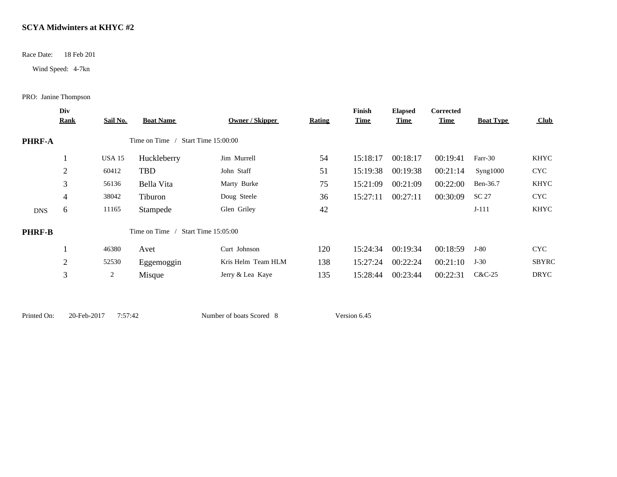Race Date: 18 Feb 201

Wind Speed: 4-7kn

PRO: Janine Thompson

|               | Div            |               |                  |                            |               | Finish      | <b>Elapsed</b> | Corrected   |                  |                  |
|---------------|----------------|---------------|------------------|----------------------------|---------------|-------------|----------------|-------------|------------------|------------------|
|               | <b>Rank</b>    | Sail No.      | <b>Boat Name</b> | <b>Owner / Skipper</b>     | <b>Rating</b> | <u>Time</u> | <b>Time</b>    | <b>Time</b> | <b>Boat Type</b> | $\mathbf{C}$ lub |
| PHRF-A        |                |               | Time on Time     | Start Time 15:00:00        |               |             |                |             |                  |                  |
|               |                | <b>USA 15</b> | Huckleberry      | Jim Murrell                | 54            | 15:18:17    | 00:18:17       | 00:19:41    | Farr-30          | KHYC             |
|               | $\overline{2}$ | 60412         | TBD              | John Staff                 | 51            | 15:19:38    | 00:19:38       | 00:21:14    | Syng1000         | <b>CYC</b>       |
|               | 3              | 56136         | Bella Vita       | Marty Burke                | 75            | 15:21:09    | 00:21:09       | 00:22:00    | Ben-36.7         | <b>KHYC</b>      |
|               | 4              | 38042         | Tiburon          | Doug Steele                | 36            | 15:27:11    | 00:27:11       | 00:30:09    | SC 27            | <b>CYC</b>       |
| <b>DNS</b>    | 6              | 11165         | Stampede         | Glen Griley                | 42            |             |                |             | $J-111$          | KHYC             |
| <b>PHRF-B</b> |                |               | Time on Time     | <b>Start Time 15:05:00</b> |               |             |                |             |                  |                  |
|               |                | 46380         | Avet             | Curt Johnson               | 120           | 15:24:34    | 00:19:34       | 00:18:59    | J-80             | <b>CYC</b>       |
|               | 2              | 52530         | Eggemoggin       | Kris Helm Team HLM         | 138           | 15:27:24    | 00:22:24       | 00:21:10    | $J-30$           | <b>SBYRC</b>     |
|               | 3              | 2             | Misque           | Jerry & Lea Kaye           | 135           | 15:28:44    | 00:23:44       | 00:22:31    | $C&C-25$         | DRYC             |
|               |                |               |                  |                            |               |             |                |             |                  |                  |

Printed On: 20-Feb-2017 7:57:42 Number of boats Scored 8 Version 6.45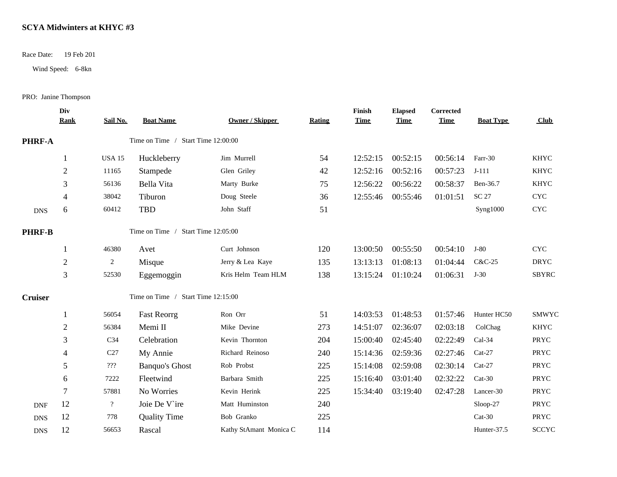Race Date: 19 Feb 201

Wind Speed: 6-8kn

PRO: Janine Thompson

|                | Div<br><b>Rank</b> | Sail No.                         | <b>Boat Name</b>                   | <b>Owner / Skipper</b> | <b>Rating</b> | Finish<br><b>Time</b> | <b>Elapsed</b><br><b>Time</b> | Corrected<br><b>Time</b> | <b>Boat Type</b> | Club                      |
|----------------|--------------------|----------------------------------|------------------------------------|------------------------|---------------|-----------------------|-------------------------------|--------------------------|------------------|---------------------------|
| <b>PHRF-A</b>  |                    |                                  | Time on Time / Start Time 12:00:00 |                        |               |                       |                               |                          |                  |                           |
|                | 1                  | <b>USA 15</b>                    | Huckleberry                        | Jim Murrell            | 54            | 12:52:15              | 00:52:15                      | 00:56:14                 | Farr-30          | <b>KHYC</b>               |
|                | $\overline{2}$     | 11165                            | Stampede                           | Glen Griley            | 42            | 12:52:16              | 00:52:16                      | 00:57:23                 | $J-111$          | <b>KHYC</b>               |
|                | 3                  | 56136                            | Bella Vita                         | Marty Burke            | 75            | 12:56:22              | 00:56:22                      | 00:58:37                 | Ben-36.7         | <b>KHYC</b>               |
|                | 4                  | 38042                            | Tiburon                            | Doug Steele            | 36            | 12:55:46              | 00:55:46                      | 01:01:51                 | SC 27            | <b>CYC</b>                |
| <b>DNS</b>     | 6                  | 60412                            | <b>TBD</b>                         | John Staff             | 51            |                       |                               |                          | Syng1000         | $\ensuremath{\text{CYC}}$ |
| <b>PHRF-B</b>  |                    |                                  | Time on Time / Start Time 12:05:00 |                        |               |                       |                               |                          |                  |                           |
|                |                    | 46380                            | Avet                               | Curt Johnson           | 120           | 13:00:50              | 00:55:50                      | 00:54:10                 | $J-80$           | <b>CYC</b>                |
|                | $\overline{2}$     | $\overline{2}$                   | Misque                             | Jerry & Lea Kaye       | 135           | 13:13:13              | 01:08:13                      | 01:04:44                 | C&C-25           | <b>DRYC</b>               |
|                | 3                  | 52530                            | Eggemoggin                         | Kris Helm Team HLM     | 138           | 13:15:24              | 01:10:24                      | 01:06:31                 | $J-30$           | <b>SBYRC</b>              |
| <b>Cruiser</b> |                    |                                  | Time on Time / Start Time 12:15:00 |                        |               |                       |                               |                          |                  |                           |
|                |                    | 56054                            | <b>Fast Reorrg</b>                 | Ron Orr                | 51            | 14:03:53              | 01:48:53                      | 01:57:46                 | Hunter HC50      | <b>SMWYC</b>              |
|                | $\overline{c}$     | 56384                            | Memi II                            | Mike Devine            | 273           | 14:51:07              | 02:36:07                      | 02:03:18                 | ColChag          | <b>KHYC</b>               |
|                | 3                  | C <sub>34</sub>                  | Celebration                        | Kevin Thornton         | 204           | 15:00:40              | 02:45:40                      | 02:22:49                 | Cal-34           | PRYC                      |
|                | 4                  | C27                              | My Annie                           | Richard Reinoso        | 240           | 15:14:36              | 02:59:36                      | 02:27:46                 | $Cat-27$         | PRYC                      |
|                | 5                  | $\mathbf{?}\mathbf{?}\mathbf{?}$ | <b>Banquo's Ghost</b>              | Rob Probst             | 225           | 15:14:08              | 02:59:08                      | 02:30:14                 | $Cat-27$         | PRYC                      |
|                | 6                  | 7222                             | Fleetwind                          | Barbara Smith          | 225           | 15:16:40              | 03:01:40                      | 02:32:22                 | $Cat-30$         | PRYC                      |
|                | 7                  | 57881                            | No Worries                         | Kevin Herink           | 225           | 15:34:40              | 03:19:40                      | 02:47:28                 | Lancer-30        | PRYC                      |
| <b>DNF</b>     | 12                 | $\overline{\mathcal{L}}$         | Joie De V ire                      | Matt Huminston         | 240           |                       |                               |                          | $Sloop-27$       | PRYC                      |
| <b>DNS</b>     | 12                 | 778                              | <b>Quality Time</b>                | Bob Granko             | 225           |                       |                               |                          | $Cat-30$         | PRYC                      |
| <b>DNS</b>     | 12                 | 56653                            | Rascal                             | Kathy StAmant Monica C | 114           |                       |                               |                          | Hunter-37.5      | <b>SCCYC</b>              |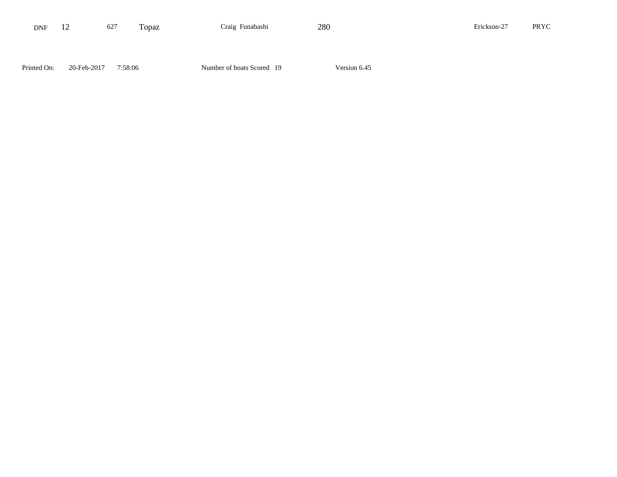| <b>DNF</b>  | 12          | 627     | Topaz | Craig Funabashi           | 280          | Erickson-27 | PRYC |
|-------------|-------------|---------|-------|---------------------------|--------------|-------------|------|
|             |             |         |       |                           |              |             |      |
|             |             |         |       |                           |              |             |      |
| Printed On: | 20-Feb-2017 | 7:58:06 |       | Number of boats Scored 19 | Version 6.45 |             |      |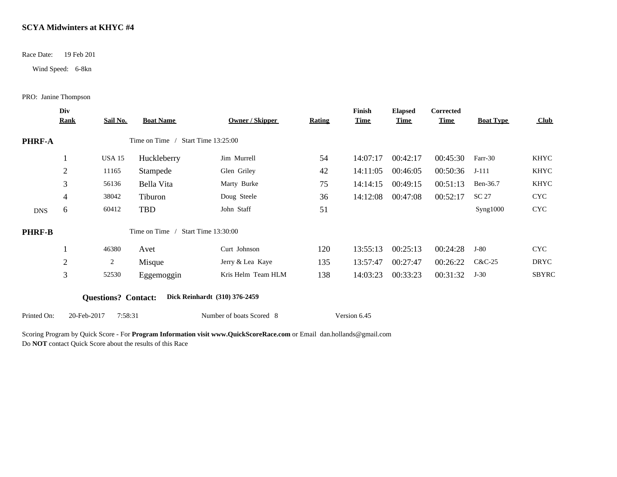Race Date: 19 Feb 201

Wind Speed: 6-8kn

PRO: Janine Thompson

|               | Div            |                            |                  |                               |               | Finish       | <b>Elapsed</b> | Corrected   |                  |             |  |
|---------------|----------------|----------------------------|------------------|-------------------------------|---------------|--------------|----------------|-------------|------------------|-------------|--|
|               | <b>Rank</b>    | Sail No.                   | <b>Boat Name</b> | <b>Owner / Skipper</b>        | <b>Rating</b> | <u>Time</u>  | <u>Time</u>    | <b>Time</b> | <b>Boat Type</b> | Club        |  |
| <b>PHRF-A</b> |                |                            | Time on Time /   | <b>Start Time 13:25:00</b>    |               |              |                |             |                  |             |  |
|               |                | USA 15                     | Huckleberry      | Jim Murrell                   | 54            | 14:07:17     | 00:42:17       | 00:45:30    | Farr-30          | KHYC        |  |
|               | 2              | 11165                      | Stampede         | Glen Griley                   | 42            | 14:11:05     | 00:46:05       | 00:50:36    | $J-111$          | KHYC        |  |
|               | 3              | 56136                      | Bella Vita       | Marty Burke                   | 75            | 14:14:15     | 00:49:15       | 00:51:13    | Ben-36.7         | KHYC        |  |
|               | 4              | 38042                      | Tiburon          | Doug Steele                   | 36            | 14:12:08     | 00:47:08       | 00:52:17    | SC 27            | <b>CYC</b>  |  |
| <b>DNS</b>    | 6              | 60412                      | TBD              | John Staff                    | 51            |              |                |             | Syng1000         | <b>CYC</b>  |  |
| <b>PHRF-B</b> |                |                            | Time on Time     | <b>Start Time 13:30:00</b>    |               |              |                |             |                  |             |  |
|               |                | 46380                      | Avet             | Curt Johnson                  | 120           | 13:55:13     | 00:25:13       | 00:24:28    | $J-80$           | <b>CYC</b>  |  |
|               | $\overline{2}$ | 2                          | Misque           | Jerry & Lea Kaye              | 135           | 13:57:47     | 00:27:47       | 00:26:22    | $C&C-25$         | <b>DRYC</b> |  |
|               | 3              | 52530                      | Eggemoggin       | Kris Helm Team HLM            | 138           | 14:03:23     | 00:33:23       | 00:31:32    | $J-30$           | SBYRC       |  |
|               |                | <b>Questions?</b> Contact: |                  | Dick Reinhardt (310) 376-2459 |               |              |                |             |                  |             |  |
| Printed On:   | 20-Feb-2017    | 7:58:31                    |                  | Number of boats Scored 8      |               | Version 6.45 |                |             |                  |             |  |

Scoring Program by Quick Score - For **Program Information visit www.QuickScoreRace.com** or Email dan.hollands@gmail.com Do **NOT** contact Quick Score about the results of this Race